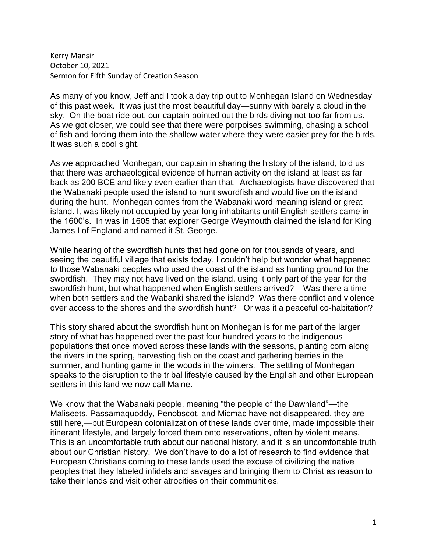Kerry Mansir October 10, 2021 Sermon for Fifth Sunday of Creation Season

As many of you know, Jeff and I took a day trip out to Monhegan Island on Wednesday of this past week. It was just the most beautiful day—sunny with barely a cloud in the sky. On the boat ride out, our captain pointed out the birds diving not too far from us. As we got closer, we could see that there were porpoises swimming, chasing a school of fish and forcing them into the shallow water where they were easier prey for the birds. It was such a cool sight.

As we approached Monhegan, our captain in sharing the history of the island, told us that there was archaeological evidence of human activity on the island at least as far back as 200 BCE and likely even earlier than that. Archaeologists have discovered that the Wabanaki people used the island to hunt swordfish and would live on the island during the hunt. Monhegan comes from the Wabanaki word meaning island or great island. It was likely not occupied by year-long inhabitants until English settlers came in the 1600's. In was in 1605 that explorer George Weymouth claimed the island for King James I of England and named it St. George.

While hearing of the swordfish hunts that had gone on for thousands of years, and seeing the beautiful village that exists today, I couldn't help but wonder what happened to those Wabanaki peoples who used the coast of the island as hunting ground for the swordfish. They may not have lived on the island, using it only part of the year for the swordfish hunt, but what happened when English settlers arrived? Was there a time when both settlers and the Wabanki shared the island? Was there conflict and violence over access to the shores and the swordfish hunt? Or was it a peaceful co-habitation?

This story shared about the swordfish hunt on Monhegan is for me part of the larger story of what has happened over the past four hundred years to the indigenous populations that once moved across these lands with the seasons, planting corn along the rivers in the spring, harvesting fish on the coast and gathering berries in the summer, and hunting game in the woods in the winters. The settling of Monhegan speaks to the disruption to the tribal lifestyle caused by the English and other European settlers in this land we now call Maine.

We know that the Wabanaki people, meaning "the people of the Dawnland"—the Maliseets, Passamaquoddy, Penobscot, and Micmac have not disappeared, they are still here,—but European colonialization of these lands over time, made impossible their itinerant lifestyle, and largely forced them onto reservations, often by violent means. This is an uncomfortable truth about our national history, and it is an uncomfortable truth about our Christian history. We don't have to do a lot of research to find evidence that European Christians coming to these lands used the excuse of civilizing the native peoples that they labeled infidels and savages and bringing them to Christ as reason to take their lands and visit other atrocities on their communities.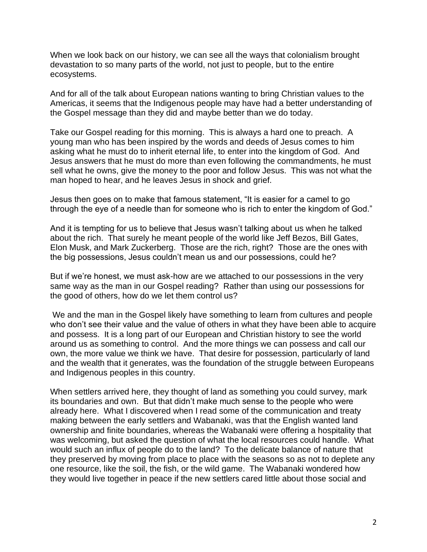When we look back on our history, we can see all the ways that colonialism brought devastation to so many parts of the world, not just to people, but to the entire ecosystems.

And for all of the talk about European nations wanting to bring Christian values to the Americas, it seems that the Indigenous people may have had a better understanding of the Gospel message than they did and maybe better than we do today.

Take our Gospel reading for this morning. This is always a hard one to preach. A young man who has been inspired by the words and deeds of Jesus comes to him asking what he must do to inherit eternal life, to enter into the kingdom of God. And Jesus answers that he must do more than even following the commandments, he must sell what he owns, give the money to the poor and follow Jesus. This was not what the man hoped to hear, and he leaves Jesus in shock and grief.

Jesus then goes on to make that famous statement, "It is easier for a camel to go through the eye of a needle than for someone who is rich to enter the kingdom of God."

And it is tempting for us to believe that Jesus wasn't talking about us when he talked about the rich. That surely he meant people of the world like Jeff Bezos, Bill Gates, Elon Musk, and Mark Zuckerberg. Those are the rich, right? Those are the ones with the big possessions, Jesus couldn't mean us and our possessions, could he?

But if we're honest, we must ask-how are we attached to our possessions in the very same way as the man in our Gospel reading? Rather than using our possessions for the good of others, how do we let them control us?

We and the man in the Gospel likely have something to learn from cultures and people who don't see their value and the value of others in what they have been able to acquire and possess. It is a long part of our European and Christian history to see the world around us as something to control. And the more things we can possess and call our own, the more value we think we have. That desire for possession, particularly of land and the wealth that it generates, was the foundation of the struggle between Europeans and Indigenous peoples in this country.

When settlers arrived here, they thought of land as something you could survey, mark its boundaries and own. But that didn't make much sense to the people who were already here. What I discovered when I read some of the communication and treaty making between the early settlers and Wabanaki, was that the English wanted land ownership and finite boundaries, whereas the Wabanaki were offering a hospitality that was welcoming, but asked the question of what the local resources could handle. What would such an influx of people do to the land? To the delicate balance of nature that they preserved by moving from place to place with the seasons so as not to deplete any one resource, like the soil, the fish, or the wild game. The Wabanaki wondered how they would live together in peace if the new settlers cared little about those social and